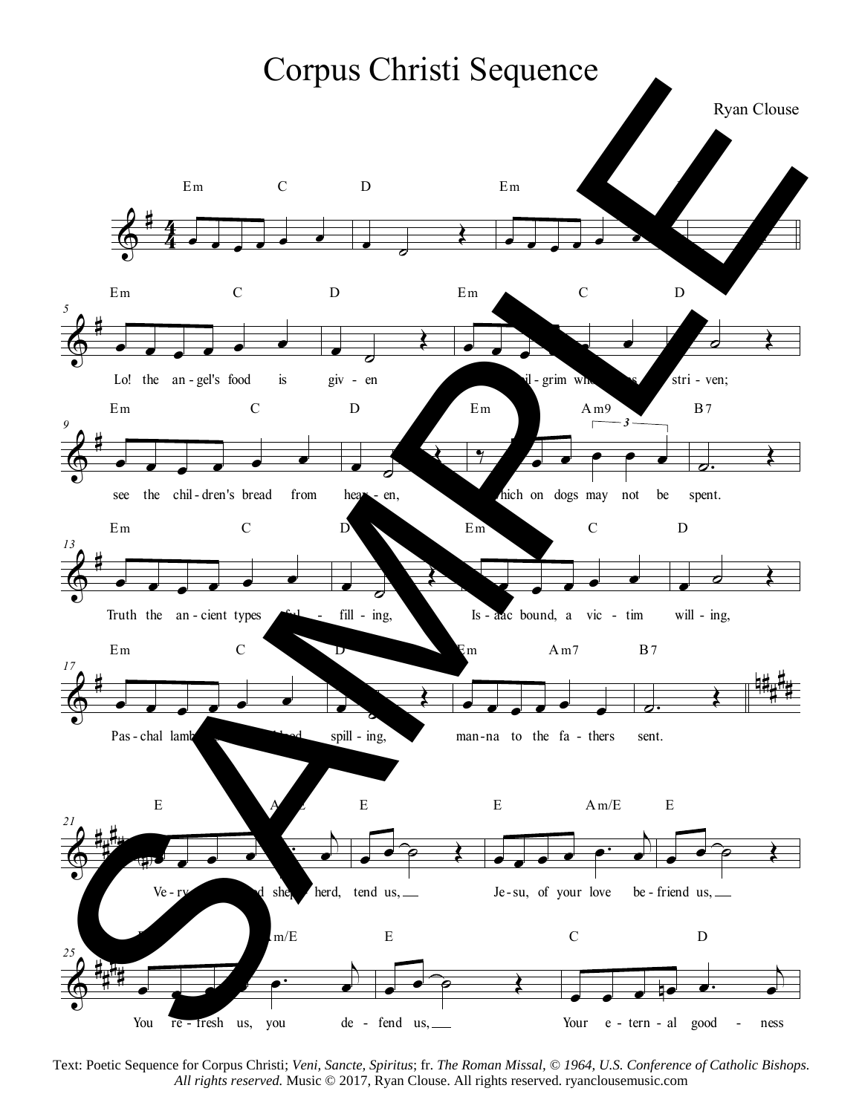

Text: Poetic Sequence for Corpus Christi; *Veni, Sancte, Spiritus*; fr. *The Roman Missal, © 1964, U.S. Conference of Catholic Bishops.* All rights reserved. Music © 2017, Ryan Clouse. All rights reserved. ryanclousemusic.com